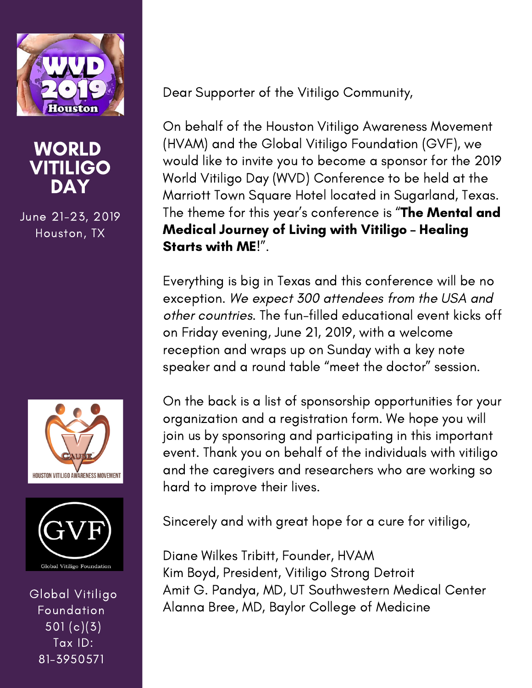

## WORLD VITILIGO DAY

June 21-23, 2019 Houston, TX





Global Vitiligo Foundation 501 (c)(3) Tax ID: 81-3950571

Dear Supporter of the Vitiligo Community,

On behalf of the Houston Vitiligo Awareness Movement (HVAM) and the Global Vitiligo Foundation (GVF), we would like to invite you to become a sponsor for the 2019 World Vitiligo Day (WVD) Conference to be held at the Marriott Town Square Hotel located in Sugarland, Texas. The theme for this year's conference is "The Mental and Medical Journey of Living with Vitiligo – Healing Starts with ME!".

Everything is big in Texas and this conference will be no exception. We expect 300 attendees from the USA and other countries. The fun-filled educational event kicks off on Friday evening, June 21, 2019, with a welcome reception and wraps up on Sunday with a key note speaker and a round table "meet the doctor" session.

On the back is a list of sponsorship opportunities for your organization and a registration form. We hope you will join us by sponsoring and participating in this important event. Thank you on behalf of the individuals with vitiligo and the caregivers and researchers who are working so hard to improve their lives.

Sincerely and with great hope for a cure for vitiligo,

Diane Wilkes Tribitt, Founder, HVAM Kim Boyd, President, Vitiligo Strong Detroit Amit G. Pandya, MD, UT Southwestern Medical Center Alanna Bree, MD, Baylor College of Medicine